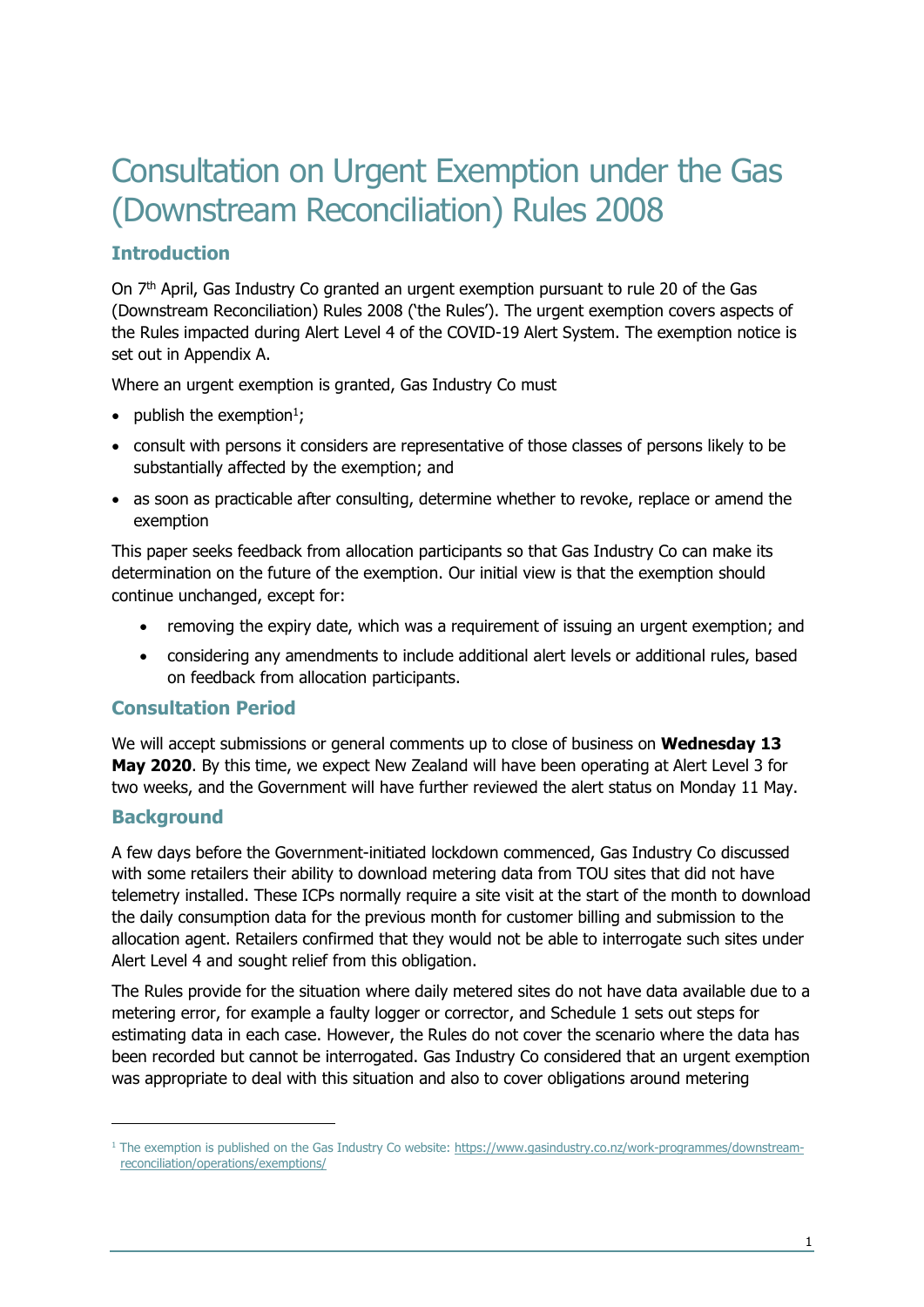# Consultation on Urgent Exemption under the Gas (Downstream Reconciliation) Rules 2008

## **Introduction**

On 7th April, Gas Industry Co granted an urgent exemption pursuant to rule 20 of the Gas (Downstream Reconciliation) Rules 2008 ('the Rules'). The urgent exemption covers aspects of the Rules impacted during Alert Level 4 of the COVID-19 Alert System. The exemption notice is set out in Appendix A.

Where an urgent exemption is granted, Gas Industry Co must

- publish the exemption<sup>1</sup>;
- consult with persons it considers are representative of those classes of persons likely to be substantially affected by the exemption; and
- as soon as practicable after consulting, determine whether to revoke, replace or amend the exemption

This paper seeks feedback from allocation participants so that Gas Industry Co can make its determination on the future of the exemption. Our initial view is that the exemption should continue unchanged, except for:

- removing the expiry date, which was a requirement of issuing an urgent exemption; and
- considering any amendments to include additional alert levels or additional rules, based on feedback from allocation participants.

### **Consultation Period**

We will accept submissions or general comments up to close of business on **Wednesday 13 May 2020**. By this time, we expect New Zealand will have been operating at Alert Level 3 for two weeks, and the Government will have further reviewed the alert status on Monday 11 May.

### **Background**

A few days before the Government-initiated lockdown commenced, Gas Industry Co discussed with some retailers their ability to download metering data from TOU sites that did not have telemetry installed. These ICPs normally require a site visit at the start of the month to download the daily consumption data for the previous month for customer billing and submission to the allocation agent. Retailers confirmed that they would not be able to interrogate such sites under Alert Level 4 and sought relief from this obligation.

The Rules provide for the situation where daily metered sites do not have data available due to a metering error, for example a faulty logger or corrector, and Schedule 1 sets out steps for estimating data in each case. However, the Rules do not cover the scenario where the data has been recorded but cannot be interrogated. Gas Industry Co considered that an urgent exemption was appropriate to deal with this situation and also to cover obligations around metering

 $1$  The exemption is published on the Gas Industry Co website: [https://www.gasindustry.co.nz/work-programmes/downstream](https://www.gasindustry.co.nz/work-programmes/downstream-reconciliation/operations/exemptions/)[reconciliation/operations/exemptions/](https://www.gasindustry.co.nz/work-programmes/downstream-reconciliation/operations/exemptions/)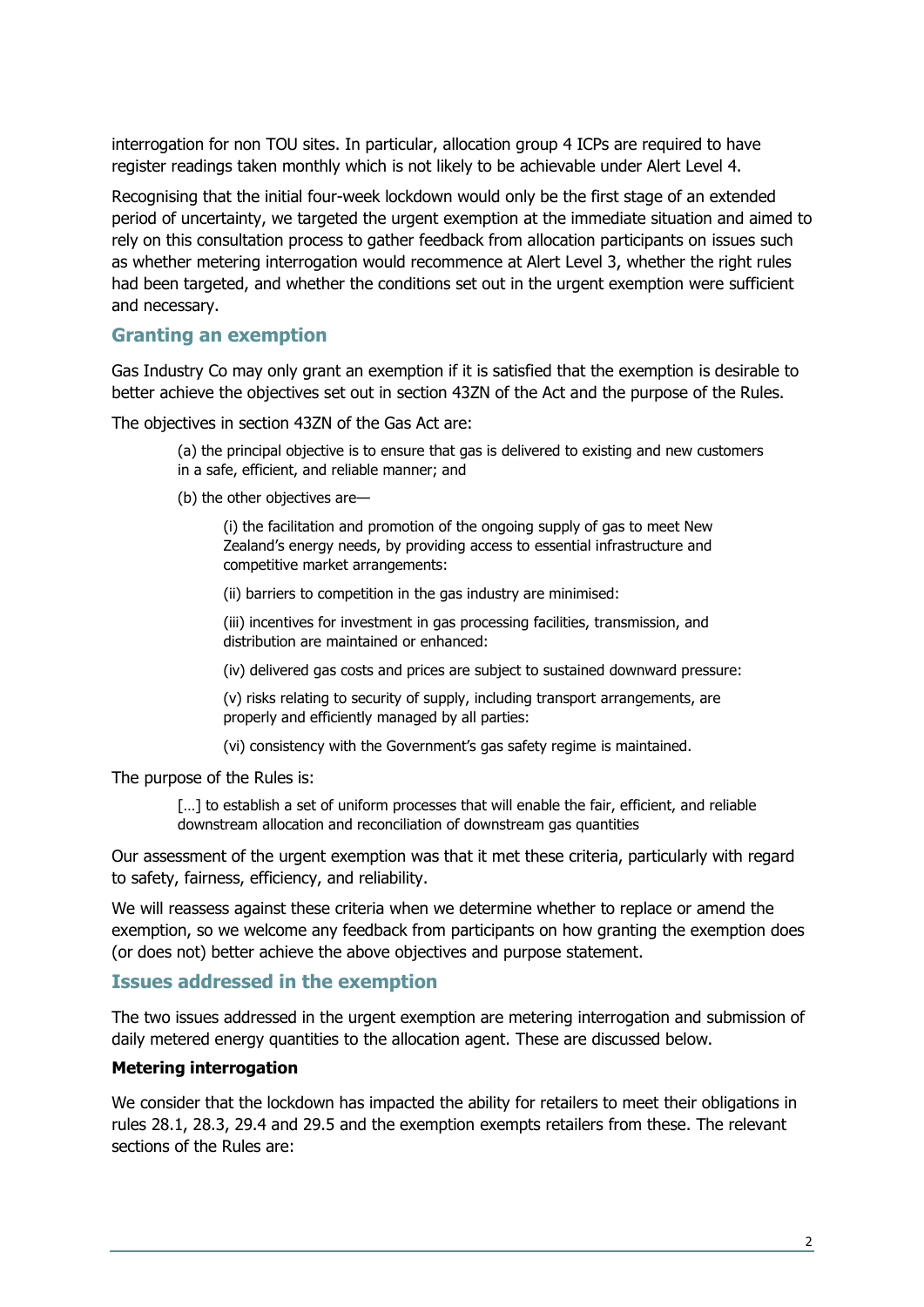interrogation for non TOU sites. In particular, allocation group 4 ICPs are required to have register readings taken monthly which is not likely to be achievable under Alert Level 4.

Recognising that the initial four-week lockdown would only be the first stage of an extended period of uncertainty, we targeted the urgent exemption at the immediate situation and aimed to rely on this consultation process to gather feedback from allocation participants on issues such as whether metering interrogation would recommence at Alert Level 3, whether the right rules had been targeted, and whether the conditions set out in the urgent exemption were sufficient and necessary.

### **Granting an exemption**

Gas Industry Co may only grant an exemption if it is satisfied that the exemption is desirable to better achieve the objectives set out in section 43ZN of the Act and the purpose of the Rules.

The objectives in section 43ZN of the Gas Act are:

(a) the principal objective is to ensure that gas is delivered to existing and new customers in a safe, efficient, and reliable manner; and

(b) the other objectives are—

(i) the facilitation and promotion of the ongoing supply of gas to meet New Zealand's energy needs, by providing access to essential infrastructure and competitive market arrangements:

(ii) barriers to competition in the gas industry are minimised:

(iii) incentives for investment in gas processing facilities, transmission, and distribution are maintained or enhanced:

(iv) delivered gas costs and prices are subject to sustained downward pressure:

(v) risks relating to security of supply, including transport arrangements, are properly and efficiently managed by all parties:

(vi) consistency with the Government's gas safety regime is maintained.

The purpose of the Rules is:

[...] to establish a set of uniform processes that will enable the fair, efficient, and reliable downstream allocation and reconciliation of downstream gas quantities

Our assessment of the urgent exemption was that it met these criteria, particularly with regard to safety, fairness, efficiency, and reliability.

We will reassess against these criteria when we determine whether to replace or amend the exemption, so we welcome any feedback from participants on how granting the exemption does (or does not) better achieve the above objectives and purpose statement.

#### **Issues addressed in the exemption**

The two issues addressed in the urgent exemption are metering interrogation and submission of daily metered energy quantities to the allocation agent. These are discussed below.

#### **Metering interrogation**

We consider that the lockdown has impacted the ability for retailers to meet their obligations in rules 28.1, 28.3, 29.4 and 29.5 and the exemption exempts retailers from these. The relevant sections of the Rules are: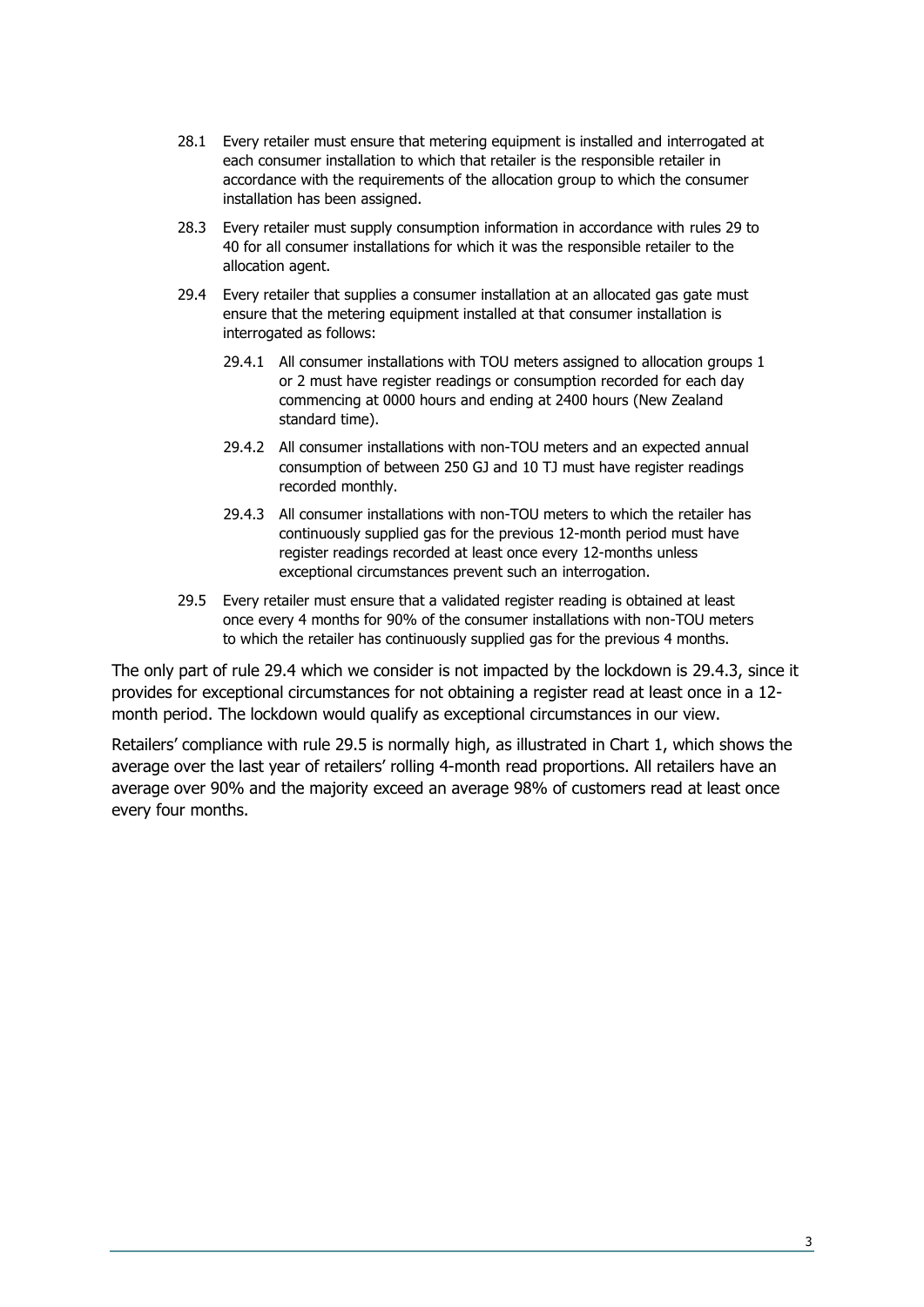- 28.1 Every retailer must ensure that metering equipment is installed and interrogated at each consumer installation to which that retailer is the responsible retailer in accordance with the requirements of the allocation group to which the consumer installation has been assigned.
- 28.3 Every retailer must supply consumption information in accordance with rules 29 to 40 for all consumer installations for which it was the responsible retailer to the allocation agent.
- 29.4 Every retailer that supplies a consumer installation at an allocated gas gate must ensure that the metering equipment installed at that consumer installation is interrogated as follows:
	- 29.4.1 All consumer installations with TOU meters assigned to allocation groups 1 or 2 must have register readings or consumption recorded for each day commencing at 0000 hours and ending at 2400 hours (New Zealand standard time).
	- 29.4.2 All consumer installations with non-TOU meters and an expected annual consumption of between 250 GJ and 10 TJ must have register readings recorded monthly.
	- 29.4.3 All consumer installations with non-TOU meters to which the retailer has continuously supplied gas for the previous 12-month period must have register readings recorded at least once every 12-months unless exceptional circumstances prevent such an interrogation.
- 29.5 Every retailer must ensure that a validated register reading is obtained at least once every 4 months for 90% of the consumer installations with non-TOU meters to which the retailer has continuously supplied gas for the previous 4 months.

The only part of rule 29.4 which we consider is not impacted by the lockdown is 29.4.3, since it provides for exceptional circumstances for not obtaining a register read at least once in a 12 month period. The lockdown would qualify as exceptional circumstances in our view.

Retailers' compliance with rule 29.5 is normally high, as illustrated in Chart 1, which shows the average over the last year of retailers' rolling 4-month read proportions. All retailers have an average over 90% and the majority exceed an average 98% of customers read at least once every four months.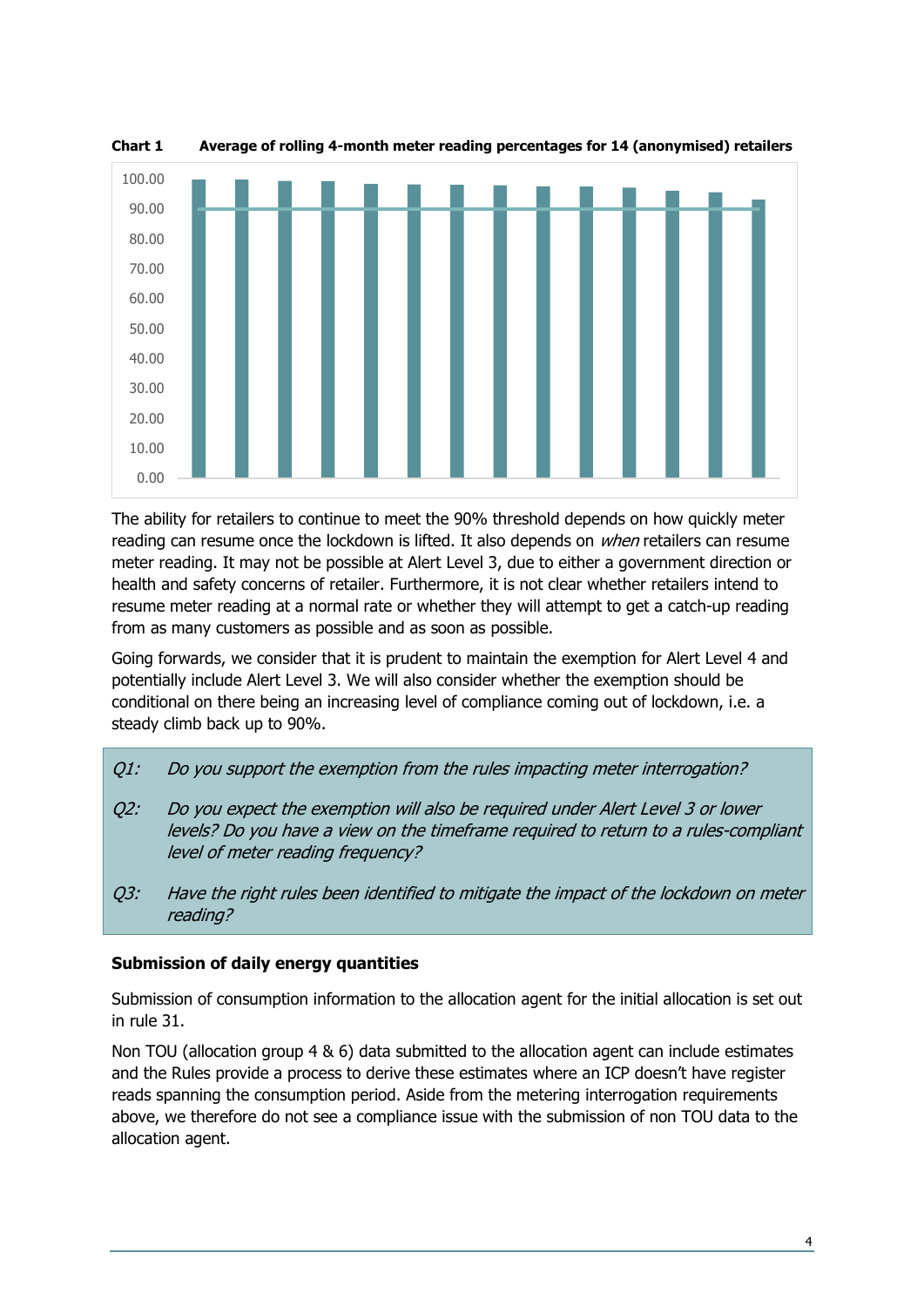

**Chart 1 Average of rolling 4-month meter reading percentages for 14 (anonymised) retailers**

The ability for retailers to continue to meet the 90% threshold depends on how quickly meter reading can resume once the lockdown is lifted. It also depends on *when* retailers can resume meter reading. It may not be possible at Alert Level 3, due to either a government direction or health and safety concerns of retailer. Furthermore, it is not clear whether retailers intend to resume meter reading at a normal rate or whether they will attempt to get a catch-up reading from as many customers as possible and as soon as possible.

Going forwards, we consider that it is prudent to maintain the exemption for Alert Level 4 and potentially include Alert Level 3. We will also consider whether the exemption should be conditional on there being an increasing level of compliance coming out of lockdown, i.e. a steady climb back up to 90%.

- Q1: Do you support the exemption from the rules impacting meter interrogation?
- Q2: Do you expect the exemption will also be required under Alert Level 3 or lower levels? Do you have a view on the timeframe required to return to a rules-compliant level of meter reading frequency?
- Q3: Have the right rules been identified to mitigate the impact of the lockdown on meter reading?

### **Submission of daily energy quantities**

Submission of consumption information to the allocation agent for the initial allocation is set out in rule 31.

Non TOU (allocation group 4 & 6) data submitted to the allocation agent can include estimates and the Rules provide a process to derive these estimates where an ICP doesn't have register reads spanning the consumption period. Aside from the metering interrogation requirements above, we therefore do not see a compliance issue with the submission of non TOU data to the allocation agent.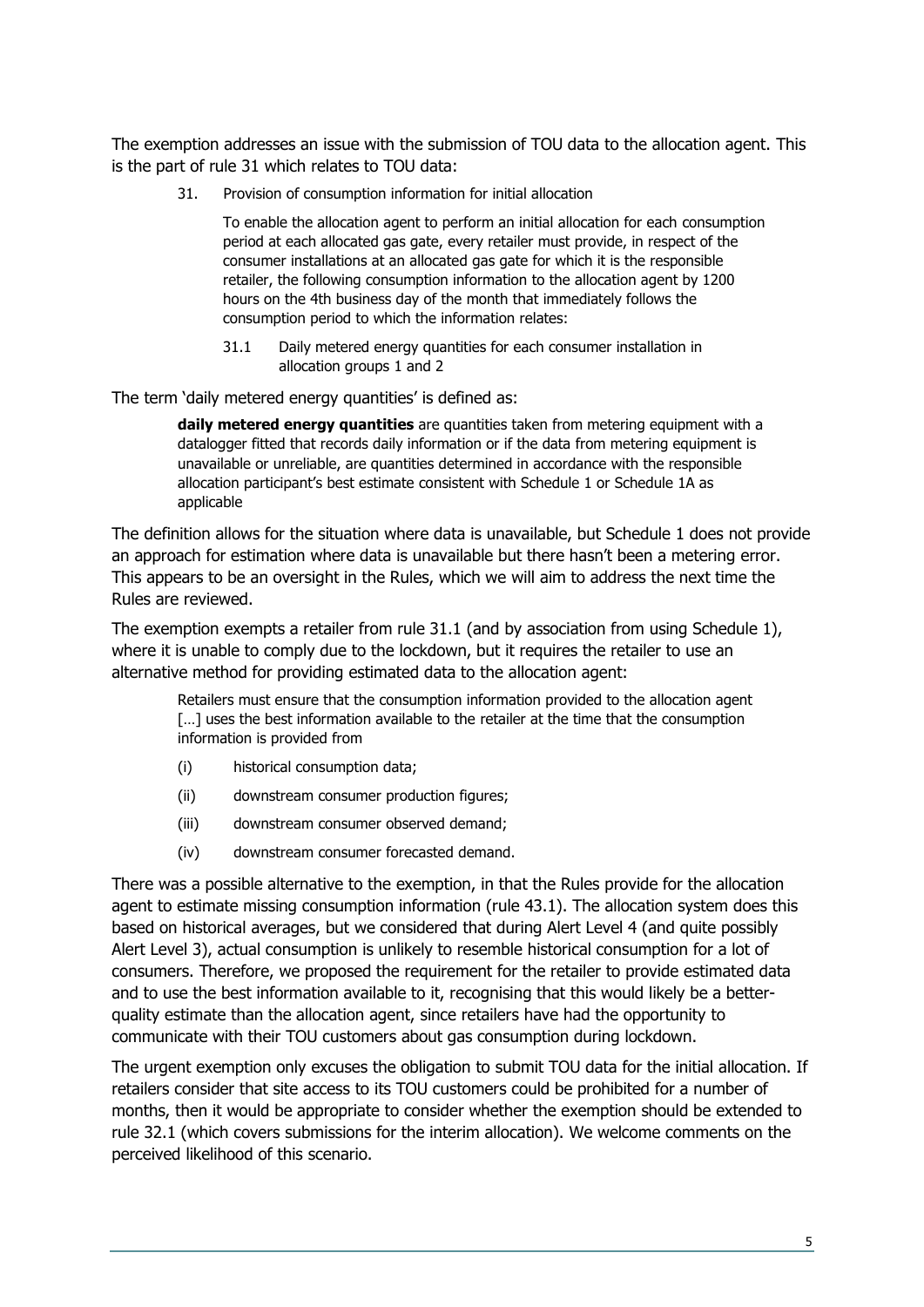The exemption addresses an issue with the submission of TOU data to the allocation agent. This is the part of rule 31 which relates to TOU data:

31. Provision of consumption information for initial allocation

To enable the allocation agent to perform an initial allocation for each consumption period at each allocated gas gate, every retailer must provide, in respect of the consumer installations at an allocated gas gate for which it is the responsible retailer, the following consumption information to the allocation agent by 1200 hours on the 4th business day of the month that immediately follows the consumption period to which the information relates:

31.1 Daily metered energy quantities for each consumer installation in allocation groups 1 and 2

The term 'daily metered energy quantities' is defined as:

**daily metered energy quantities** are quantities taken from metering equipment with a datalogger fitted that records daily information or if the data from metering equipment is unavailable or unreliable, are quantities determined in accordance with the responsible allocation participant's best estimate consistent with Schedule 1 or Schedule 1A as applicable

The definition allows for the situation where data is unavailable, but Schedule 1 does not provide an approach for estimation where data is unavailable but there hasn't been a metering error. This appears to be an oversight in the Rules, which we will aim to address the next time the Rules are reviewed.

The exemption exempts a retailer from rule 31.1 (and by association from using Schedule 1), where it is unable to comply due to the lockdown, but it requires the retailer to use an alternative method for providing estimated data to the allocation agent:

Retailers must ensure that the consumption information provided to the allocation agent [...] uses the best information available to the retailer at the time that the consumption information is provided from

- (i) historical consumption data;
- (ii) downstream consumer production figures;
- (iii) downstream consumer observed demand;
- (iv) downstream consumer forecasted demand.

There was a possible alternative to the exemption, in that the Rules provide for the allocation agent to estimate missing consumption information (rule 43.1). The allocation system does this based on historical averages, but we considered that during Alert Level 4 (and quite possibly Alert Level 3), actual consumption is unlikely to resemble historical consumption for a lot of consumers. Therefore, we proposed the requirement for the retailer to provide estimated data and to use the best information available to it, recognising that this would likely be a betterquality estimate than the allocation agent, since retailers have had the opportunity to communicate with their TOU customers about gas consumption during lockdown.

The urgent exemption only excuses the obligation to submit TOU data for the initial allocation. If retailers consider that site access to its TOU customers could be prohibited for a number of months, then it would be appropriate to consider whether the exemption should be extended to rule 32.1 (which covers submissions for the interim allocation). We welcome comments on the perceived likelihood of this scenario.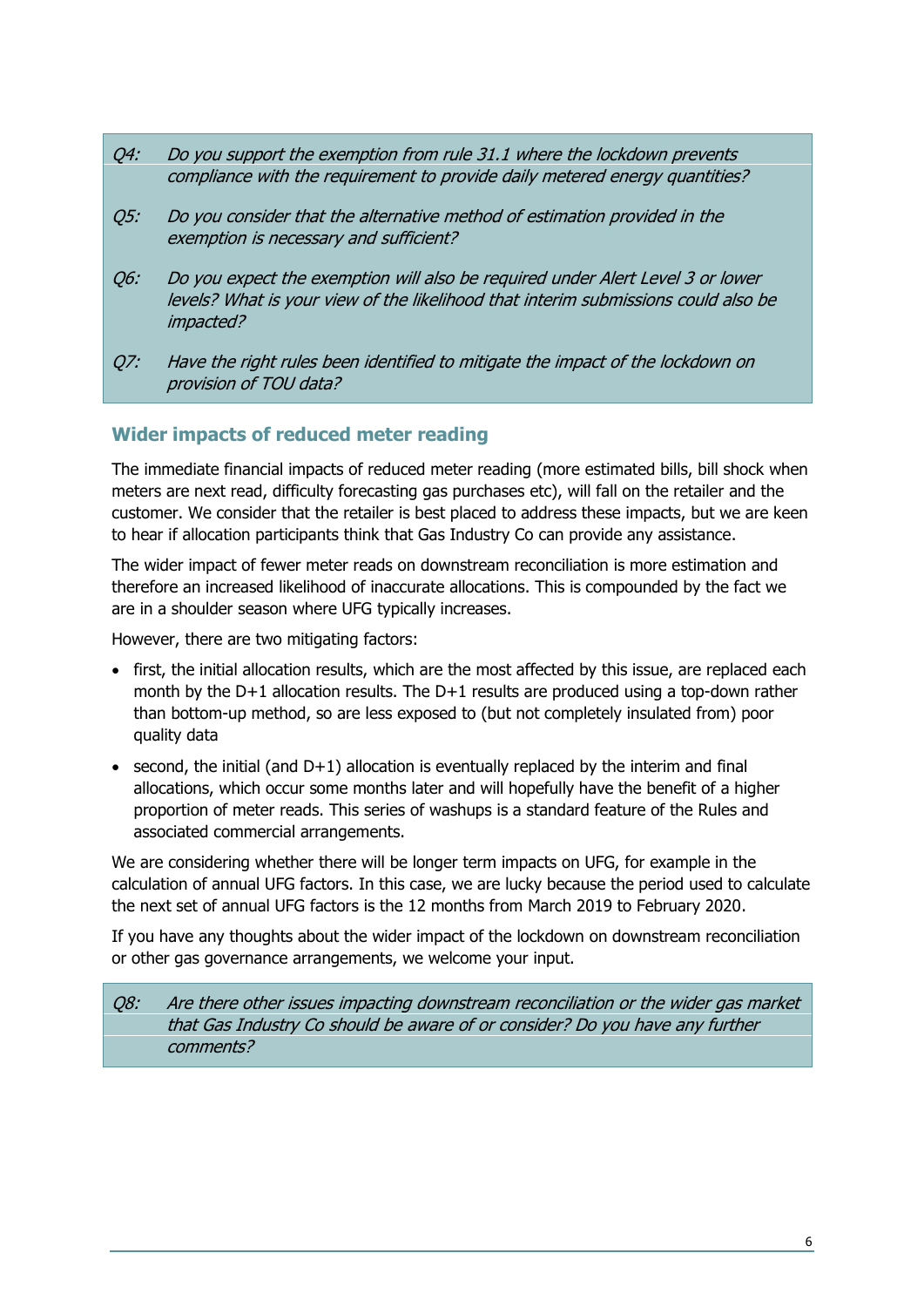- Q4: Do you support the exemption from rule 31.1 where the lockdown prevents compliance with the requirement to provide daily metered energy quantities?
- Q5: Do you consider that the alternative method of estimation provided in the exemption is necessary and sufficient?
- Q6: Do you expect the exemption will also be required under Alert Level 3 or lower levels? What is your view of the likelihood that interim submissions could also be impacted?
- Q7: Have the right rules been identified to mitigate the impact of the lockdown on provision of TOU data?

### **Wider impacts of reduced meter reading**

The immediate financial impacts of reduced meter reading (more estimated bills, bill shock when meters are next read, difficulty forecasting gas purchases etc), will fall on the retailer and the customer. We consider that the retailer is best placed to address these impacts, but we are keen to hear if allocation participants think that Gas Industry Co can provide any assistance.

The wider impact of fewer meter reads on downstream reconciliation is more estimation and therefore an increased likelihood of inaccurate allocations. This is compounded by the fact we are in a shoulder season where UFG typically increases.

However, there are two mitigating factors:

- first, the initial allocation results, which are the most affected by this issue, are replaced each month by the D+1 allocation results. The D+1 results are produced using a top-down rather than bottom-up method, so are less exposed to (but not completely insulated from) poor quality data
- second, the initial (and  $D+1$ ) allocation is eventually replaced by the interim and final allocations, which occur some months later and will hopefully have the benefit of a higher proportion of meter reads. This series of washups is a standard feature of the Rules and associated commercial arrangements.

We are considering whether there will be longer term impacts on UFG, for example in the calculation of annual UFG factors. In this case, we are lucky because the period used to calculate the next set of annual UFG factors is the 12 months from March 2019 to February 2020.

If you have any thoughts about the wider impact of the lockdown on downstream reconciliation or other gas governance arrangements, we welcome your input.

Q8: Are there other issues impacting downstream reconciliation or the wider gas market that Gas Industry Co should be aware of or consider? Do you have any further comments?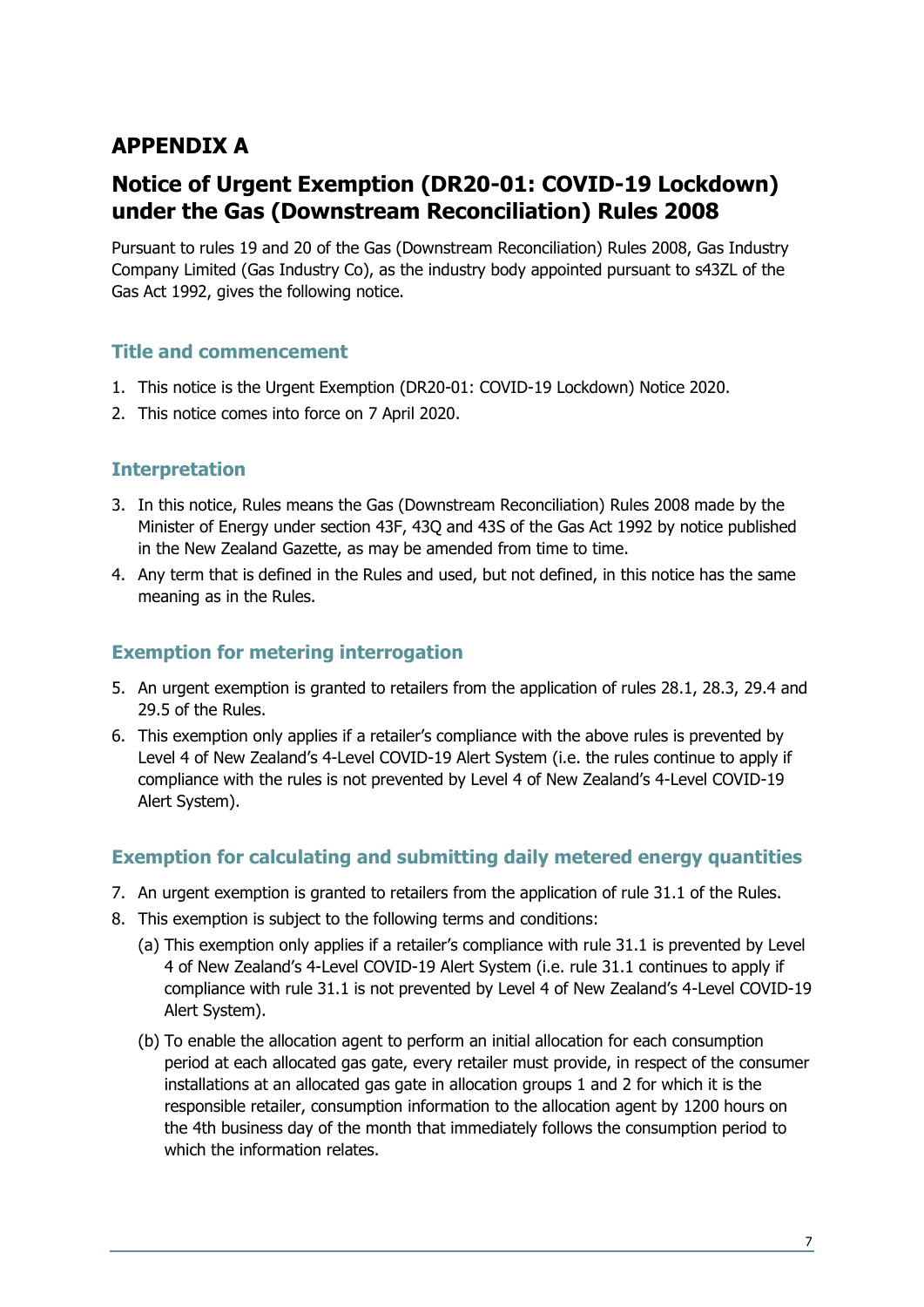# **APPENDIX A**

# **Notice of Urgent Exemption (DR20-01: COVID-19 Lockdown) under the Gas (Downstream Reconciliation) Rules 2008**

Pursuant to rules 19 and 20 of the Gas (Downstream Reconciliation) Rules 2008, Gas Industry Company Limited (Gas Industry Co), as the industry body appointed pursuant to s43ZL of the Gas Act 1992, gives the following notice.

### **Title and commencement**

- 1. This notice is the Urgent Exemption (DR20-01: COVID-19 Lockdown) Notice 2020.
- 2. This notice comes into force on 7 April 2020.

### **Interpretation**

- 3. In this notice, Rules means the Gas (Downstream Reconciliation) Rules 2008 made by the Minister of Energy under section 43F, 43Q and 43S of the Gas Act 1992 by notice published in the New Zealand Gazette, as may be amended from time to time.
- 4. Any term that is defined in the Rules and used, but not defined, in this notice has the same meaning as in the Rules.

### **Exemption for metering interrogation**

- 5. An urgent exemption is granted to retailers from the application of rules 28.1, 28.3, 29.4 and 29.5 of the Rules.
- 6. This exemption only applies if a retailer's compliance with the above rules is prevented by Level 4 of New Zealand's 4-Level COVID-19 Alert System (i.e. the rules continue to apply if compliance with the rules is not prevented by Level 4 of New Zealand's 4-Level COVID-19 Alert System).

### **Exemption for calculating and submitting daily metered energy quantities**

- 7. An urgent exemption is granted to retailers from the application of rule 31.1 of the Rules.
- 8. This exemption is subject to the following terms and conditions:
	- (a) This exemption only applies if a retailer's compliance with rule 31.1 is prevented by Level 4 of New Zealand's 4-Level COVID-19 Alert System (i.e. rule 31.1 continues to apply if compliance with rule 31.1 is not prevented by Level 4 of New Zealand's 4-Level COVID-19 Alert System).
	- (b) To enable the allocation agent to perform an initial allocation for each consumption period at each allocated gas gate, every retailer must provide, in respect of the consumer installations at an allocated gas gate in allocation groups 1 and 2 for which it is the responsible retailer, consumption information to the allocation agent by 1200 hours on the 4th business day of the month that immediately follows the consumption period to which the information relates.